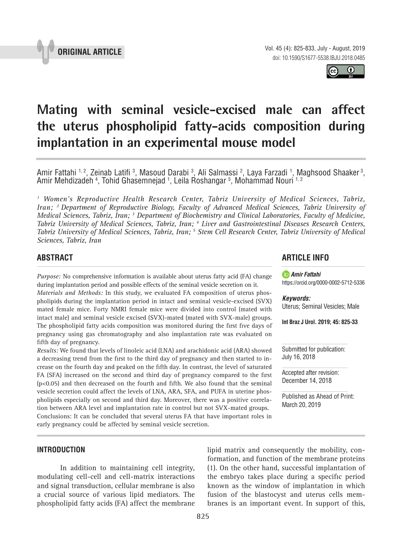



# **Mating with seminal vesicle-excised male can affect the uterus phospholipid fatty-acids composition during implantation in an experimental mouse model \_\_\_\_\_\_\_\_\_\_\_\_\_\_\_\_\_\_\_\_\_\_\_\_\_\_\_\_\_\_\_\_\_\_\_\_\_\_\_\_\_\_\_\_\_\_\_**

Amir Fattahi 1,2, Zeinab Latifi 3, Masoud Darabi 3, Ali Salmassi 2, Laya Farzadi 1, Maghsood Shaaker 3, Amir Mehdizadeh <sup>4</sup>, Tohid Ghasemnejad <sup>1</sup>, Leila Roshangar <sup>5</sup>, Mohammad Nouri <sup>1, 2</sup>

*1 Women's Reproductive Health Research Center, Tabriz University of Medical Sciences, Tabriz, Iran; 2 Department of Reproductive Biology, Faculty of Advanced Medical Sciences, Tabriz University of Medical Sciences, Tabriz, Iran; 3 Department of Biochemistry and Clinical Laboratories, Faculty of Medicine, Tabriz University of Medical Sciences, Tabriz, Iran; 4 Liver and Gastrointestinal Diseases Research Centers,*  Tabriz University of Medical Sciences, Tabriz, Iran; <sup>5</sup> Stem Cell Research Center, Tabriz University of Medical *Sciences, Tabriz, Iran*

## **ABSTRACT**

*Purpose:* No comprehensive information is available about uterus fatty acid (FA) change during implantation period and possible effects of the seminal vesicle secretion on it.

*Materials and Methods:* In this study, we evaluated FA composition of uterus phospholipids during the implantation period in intact and seminal vesicle-excised (SVX) mated female mice. Forty NMRI female mice were divided into control (mated with intact male) and seminal vesicle excised (SVX)-mated (mated with SVX-male) groups. The phospholipid fatty acids composition was monitored during the first five days of pregnancy using gas chromatography and also implantation rate was evaluated on fifth day of pregnancy.

*Results:* We found that levels of linoleic acid (LNA) and arachidonic acid (ARA) showed a decreasing trend from the first to the third day of pregnancy and then started to increase on the fourth day and peaked on the fifth day. In contrast, the level of saturated FA (SFA) increased on the second and third day of pregnancy compared to the first  $(p<0.05)$  and then decreased on the fourth and fifth. We also found that the seminal vesicle secretion could affect the levels of LNA, ARA, SFA, and PUFA in uterine phospholipids especially on second and third day. Moreover, there was a positive correlation between ARA level and implantation rate in control but not SVX-mated groups. Conclusions: It can be concluded that several uterus FA that have important roles in early pregnancy could be affected by seminal vesicle secretion.

## **ARTICLE INFO**

*Amir Fattahi*  https://orcid.org/0000-0002-5712-5336

*Keywords:* Uterus; Seminal Vesicles; Male

**Int Braz J Urol. 2019; 45: 825-33**

Submitted for publication: July 16, 2018

Accepted after revision: December 14, 2018

Published as Ahead of Print: March 20, 2019

### **INTRODUCTION**

In addition to maintaining cell integrity, modulating cell-cell and cell-matrix interactions and signal transduction, cellular membrane is also a crucial source of various lipid mediators. The phospholipid fatty acids (FA) affect the membrane lipid matrix and consequently the mobility, conformation, and function of the membrane proteins (1). On the other hand, successful implantation of the embryo takes place during a specific period known as the window of implantation in which fusion of the blastocyst and uterus cells membranes is an important event. In support of this,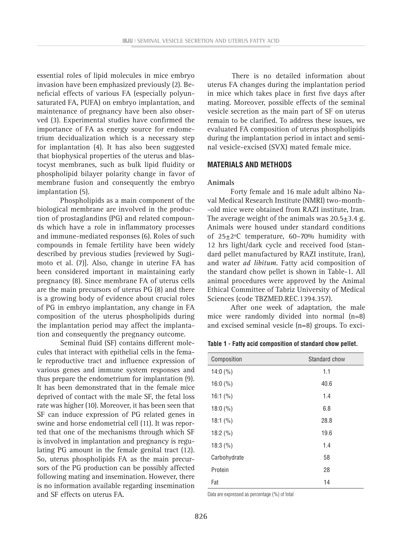essential roles of lipid molecules in mice embryo invasion have been emphasized previously (2). Beneficial effects of various FA (especially polyunsaturated FA, PUFA) on embryo implantation, and maintenance of pregnancy have been also observed (3). Experimental studies have confirmed the importance of FA as energy source for endometrium decidualization which is a necessary step for implantation (4). It has also been suggested that biophysical properties of the uterus and blastocyst membranes, such as bulk lipid fluidity or phospholipid bilayer polarity change in favor of membrane fusion and consequently the embryo implantation (5).

Phospholipids as a main component of the biological membrane are involved in the production of prostaglandins (PG) and related compounds which have a role in inflammatory processes and immune-mediated responses (6). Roles of such compounds in female fertility have been widely described by previous studies [reviewed by Sugimoto et al. (7)]. Also, change in uterine FA has been considered important in maintaining early pregnancy (8). Since membrane FA of uterus cells are the main precursors of uterus PG (8) and there is a growing body of evidence about crucial roles of PG in embryo implantation, any change in FA composition of the uterus phospholipids during the implantation period may affect the implantation and consequently the pregnancy outcome.

Seminal fluid (SF) contains different molecules that interact with epithelial cells in the female reproductive tract and influence expression of various genes and immune system responses and thus prepare the endometrium for implantation (9). It has been demonstrated that in the female mice deprived of contact with the male SF, the fetal loss rate was higher (10). Moreover, it has been seen that SF can induce expression of PG related genes in swine and horse endometrial cell (11). It was reported that one of the mechanisms through which SF is involved in implantation and pregnancy is regulating PG amount in the female genital tract (12). So, uterus phospholipids FA as the main precursors of the PG production can be possibly affected following mating and insemination. However, there is no information available regarding insemination and SF effects on uterus FA.

There is no detailed information about uterus FA changes during the implantation period in mice which takes place in first five days after mating. Moreover, possible effects of the seminal vesicle secretion as the main part of SF on uterus remain to be clarified. To address these issues, we evaluated FA composition of uterus phospholipids during the implantation period in intact and seminal vesicle-excised (SVX) mated female mice.

#### **MATERIALS AND METHODS**

#### **Animals**

Forty female and 16 male adult albino Naval Medical Research Institute (NMRI) two-month- -old mice were obtained from RAZI institute, Iran. The average weight of the animals was  $20.5 \pm 3.4$  g. Animals were housed under standard conditions of 25±2ºC temperature, 60–70% humidity with 12 hrs light/dark cycle and received food (standard pellet manufactured by RAZI institute, Iran), and water *ad libitum*. Fatty acid composition of the standard chow pellet is shown in Table-1. All animal procedures were approved by the Animal Ethical Committee of Tabriz University of Medical Sciences (code TBZMED.REC.1394.357).

After one week of adaptation, the male mice were randomly divided into normal (n=8) and excised seminal vesicle (n=8) groups. To exci-

| Table 1 - Fatty acid composition of standard chow pellet. |  |
|-----------------------------------------------------------|--|
|-----------------------------------------------------------|--|

| Composition  | Standard chow |
|--------------|---------------|
| 14:0 $(\% )$ | 1.1           |
| 16:0 $(\% )$ | 40.6          |
| 16:1 $(\% )$ | 1.4           |
| 18:0 $(\% )$ | 6.8           |
| 18:1 $(\% )$ | 28.8          |
| 18:2 $(\% )$ | 19.6          |
| 18:3(%)      | 1.4           |
| Carbohydrate | 58            |
| Protein      | 28            |
| Fat          | 14            |

Data are expressed as percentage (%) of total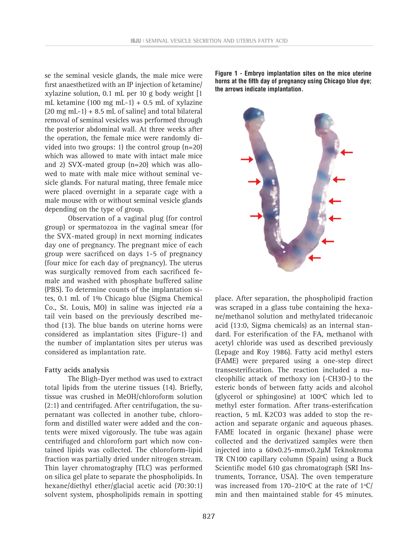se the seminal vesicle glands, the male mice were first anaesthetized with an IP injection of ketamine/ xylazine solution, 0.1 mL per 10 g body weight [1 mL ketamine (100 mg mL-1) + 0.5 mL of xylazine  $(20 \text{ mg} \text{ mL}-1) + 8.5 \text{ mL}$  of saline] and total bilateral removal of seminal vesicles was performed through the posterior abdominal wall. At three weeks after the operation, the female mice were randomly divided into two groups: 1) the control group (n=20) which was allowed to mate with intact male mice and 2) SVX-mated group (n=20) which was allowed to mate with male mice without seminal vesicle glands. For natural mating, three female mice were placed overnight in a separate cage with a male mouse with or without seminal vesicle glands depending on the type of group.

Observation of a vaginal plug (for control group) or spermatozoa in the vaginal smear (for the SVX-mated group) in next morning indicates day one of pregnancy. The pregnant mice of each group were sacrificed on days 1-5 of pregnancy (four mice for each day of pregnancy). The uterus was surgically removed from each sacrificed female and washed with phosphate buffered saline (PBS). To determine counts of the implantation sites, 0.1 mL of 1% Chicago blue (Sigma Chemical Co., St. Louis, MO) in saline was injected *via* a tail vein based on the previously described method (13). The blue bands on uterine horns were considered as implantation sites (Figure-1) and the number of implantation sites per uterus was considered as implantation rate.

### **Fatty acids analysis**

The Bligh-Dyer method was used to extract total lipids from the uterine tissues (14). Briefly, tissue was crushed in MeOH/chloroform solution (2:1) and centrifuged. After centrifugation, the supernatant was collected in another tube, chloroform and distilled water were added and the contents were mixed vigorously. The tube was again centrifuged and chloroform part which now contained lipids was collected. The chloroform-lipid fraction was partially dried under nitrogen stream. Thin layer chromatography (TLC) was performed on silica gel plate to separate the phospholipids. In hexane/diethyl ether/glacial acetic acid (70:30:1) solvent system, phospholipids remain in spotting

**Figure 1 - Embryo implantation sites on the mice uterine horns at the fifth day of pregnancy using Chicago blue dye; the arrows indicate implantation.**



place. After separation, the phospholipid fraction was scraped in a glass tube containing the hexane/methanol solution and methylated tridecanoic acid (13:0, Sigma chemicals) as an internal standard. For esterification of the FA, methanol with acetyl chloride was used as described previously (Lepage and Roy 1986). Fatty acid methyl esters (FAME) were prepared using a one-step direct transesterification. The reaction included a nucleophilic attack of methoxy ion (-CH3O-) to the esteric bonds of between fatty acids and alcohol (glycerol or sphingosine) at 100ºC which led to methyl ester formation. After trans-esterification reaction, 5 mL K2CO3 was added to stop the reaction and separate organic and aqueous phases. FAME located in organic (hexane) phase were collected and the derivatized samples were then injected into a 60×0.25-mm×0.2μM Teknokroma TR CN100 capillary column (Spain) using a Buck Scientific model 610 gas chromatograph (SRI Instruments, Torrance, USA). The oven temperature was increased from 170–210ºC at the rate of 1ºC/ min and then maintained stable for 45 minutes.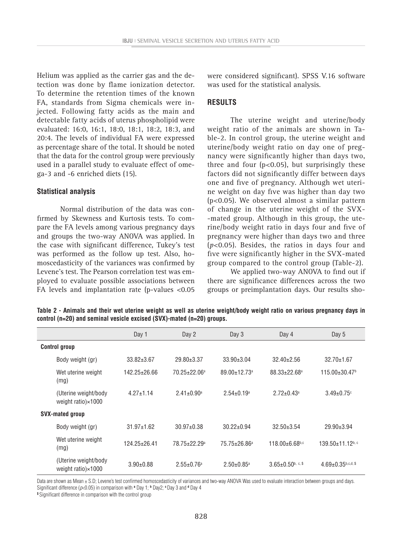Helium was applied as the carrier gas and the detection was done by flame ionization detector. To determine the retention times of the known FA, standards from Sigma chemicals were injected. Following fatty acids as the main and detectable fatty acids of uterus phospholipid were evaluated: 16:0, 16:1, 18:0, 18:1, 18:2, 18:3, and 20:4. The levels of individual FA were expressed as percentage share of the total. It should be noted that the data for the control group were previously used in a parallel study to evaluate effect of omega-3 and -6 enriched diets (15).

#### **Statistical analysis**

Normal distribution of the data was confirmed by Skewness and Kurtosis tests. To compare the FA levels among various pregnancy days and groups the two-way ANOVA was applied. In the case with significant difference, Tukey's test was performed as the follow up test. Also, homoscedasticity of the variances was confirmed by Levene's test. The Pearson correlation test was employed to evaluate possible associations between FA levels and implantation rate (p-values <0.05 were considered significant). SPSS V.16 software was used for the statistical analysis.

#### **RESULTS**

The uterine weight and uterine/body weight ratio of the animals are shown in Table-2. In control group, the uterine weight and uterine/body weight ratio on day one of pregnancy were significantly higher than days two, three and four ( $p<0.05$ ), but surprisingly these factors did not significantly differ between days one and five of pregnancy. Although wet uterine weight on day five was higher than day two (p<0.05). We observed almost a similar pattern of change in the uterine weight of the SVX- -mated group. Although in this group, the uterine/body weight ratio in days four and five of pregnancy were higher than days two and three (*p*<0.05). Besides, the ratios in days four and five were significantly higher in the SVX-mated group compared to the control group (Table-2).

We applied two-way ANOVA to find out if there are significance differences across the two groups or preimplantation days. Our results sho-

|                                                      | Day 1              | Day 2                        | Day 3                        | Day 4                            | Day 5                            |
|------------------------------------------------------|--------------------|------------------------------|------------------------------|----------------------------------|----------------------------------|
| <b>Control group</b>                                 |                    |                              |                              |                                  |                                  |
| Body weight (gr)                                     | $33.82 \pm 3.67$   | $29.80 \pm 3.37$             | $33.90 \pm 3.04$             | $32.40 \pm 2.56$                 | $32.70 \pm 1.67$                 |
| Wet uterine weight<br>(mg)                           | $142.25 \pm 26.66$ | 70.25±22.06 <sup>a</sup>     | 89.00±12.73 <sup>a</sup>     | 88.33±22.68 <sup>a</sup>         | $115.00\pm30.47$ <sup>b</sup>    |
| (Uterine weight/body)<br>weight ratio) $\times$ 1000 | $4.27 \pm 1.14$    | $2.41 \pm 0.90$ <sup>a</sup> | $2.54 \pm 0.19$ <sup>a</sup> | $2.72 \pm 0.43$ <sup>a</sup>     | $3.49 \pm 0.75$ <sup>c</sup>     |
| <b>SVX-mated group</b>                               |                    |                              |                              |                                  |                                  |
| Body weight (gr)                                     | $31.97 \pm 1.62$   | $30.97 \pm 0.38$             | $30.22 \pm 0.94$             | $32.50 \pm 3.54$                 | $29.90 \pm 3.94$                 |
| Wet uterine weight<br>(mg)                           | $124.25 \pm 26.41$ | 78.75±22.29 <sup>a</sup>     | 75.75±26.86 <sup>a</sup>     | $118.00 \pm 6.68$ <sub>b,c</sub> | $139.50 + 11.12$ <sup>b, c</sup> |
| (Uterine weight/body)<br>weight ratio) $\times$ 1000 | $3.90 \pm 0.88$    | $2.55 \pm 0.76$ <sup>a</sup> | $2.50 \pm 0.85$ <sup>a</sup> | $3.65 \pm 0.50$ b, c, \$         | $4.69 \pm 0.35$ b,c,d, \$        |

**Table 2 - Animals and their wet uterine weight as well as uterine weight/body weight ratio on various pregnancy days in control (n=20) and seminal vesicle excised (SVX)-mated (n=20) groups.**

Data are shown as Mean ± S.D; Levene's test confirmed homoscedasticity of variances and two-way ANOVA Was used to evaluate interaction between groups and days. Significant difference (*p*<0.05) in comparison with **<sup>a</sup>** Day 1; **<sup>b</sup>** Day2; **<sup>c</sup>**Day 3 and **<sup>d</sup>** Day 4

**\$** Significant difference in comparison with the control group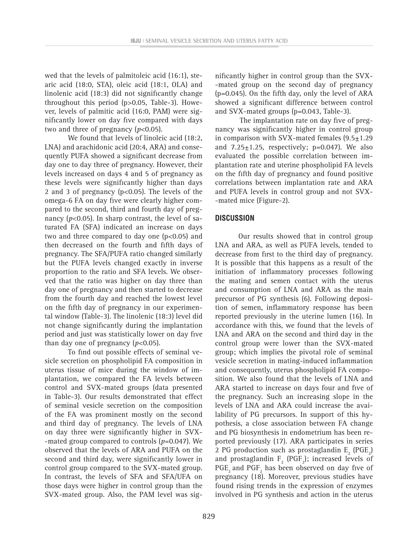wed that the levels of palmitoleic acid (16:1), stearic acid (18:0, STA), oleic acid (18:1, OLA) and linolenic acid (18:3) did not significantly change throughout this period (p>0.05, Table-3). However, levels of palmitic acid (16:0, PAM) were significantly lower on day five compared with days two and three of pregnancy (*p*<0.05).

We found that levels of linoleic acid (18:2, LNA) and arachidonic acid (20:4, ARA) and consequently PUFA showed a significant decrease from day one to day three of pregnancy. However, their levels increased on days 4 and 5 of pregnancy as these levels were significantly higher than days 2 and 3 of pregnancy ( $p<0.05$ ). The levels of the omega-6 FA on day five were clearly higher compared to the second, third and fourth day of pregnancy  $(p<0.05)$ . In sharp contrast, the level of saturated FA (SFA) indicated an increase on days two and three compared to day one (p<0.05) and then decreased on the fourth and fifth days of pregnancy. The SFA/PUFA ratio changed similarly but the PUFA levels changed exactly in inverse proportion to the ratio and SFA levels. We observed that the ratio was higher on day three than day one of pregnancy and then started to decrease from the fourth day and reached the lowest level on the fifth day of pregnancy in our experimental window (Table-3). The linolenic (18:3) level did not change significantly during the implantation period and just was statistically lower on day five than day one of pregnancy  $(p<0.05)$ .

To find out possible effects of seminal vesicle secretion on phospholipid FA composition in uterus tissue of mice during the window of implantation, we compared the FA levels between control and SVX-mated groups (data presented in Table-3). Our results demonstrated that effect of seminal vesicle secretion on the composition of the FA was prominent mostly on the second and third day of pregnancy. The levels of LNA on day three were significantly higher in SVX- -mated group compared to controls (*p*=0.047). We observed that the levels of ARA and PUFA on the second and third day, were significantly lower in control group compared to the SVX-mated group. In contrast, the levels of SFA and SFA/UFA on those days were higher in control group than the SVX-mated group. Also, the PAM level was sig-

nificantly higher in control group than the SVX- -mated group on the second day of pregnancy (p=0.045). On the fifth day, only the level of ARA showed a significant difference between control and SVX-mated groups (p=0.043, Table-3).

The implantation rate on day five of pregnancy was significantly higher in control group in comparison with SVX-mated females  $(9.5 \pm 1.29)$ and  $7.25 \pm 1.25$ , respectively; p=0.047). We also evaluated the possible correlation between implantation rate and uterine phospholipid FA levels on the fifth day of pregnancy and found positive correlations between implantation rate and ARA and PUFA levels in control group and not SVX- -mated mice (Figure-2).

## **DISCUSSION**

Our results showed that in control group LNA and ARA, as well as PUFA levels, tended to decrease from first to the third day of pregnancy. It is possible that this happens as a result of the initiation of inflammatory processes following the mating and semen contact with the uterus and consumption of LNA and ARA as the main precursor of PG synthesis (6). Following deposition of semen, inflammatory response has been reported previously in the uterine lumen (16). In accordance with this, we found that the levels of LNA and ARA on the second and third day in the control group were lower than the SVX-mated group; which implies the pivotal role of seminal vesicle secretion in mating-induced inflammation and consequently, uterus phospholipid FA composition. We also found that the levels of LNA and ARA started to increase on days four and five of the pregnancy. Such an increasing slope in the levels of LNA and ARA could increase the availability of PG precursors. In support of this hypothesis, a close association between FA change and PG biosynthesis in endometrium has been reported previously (17). ARA participates in series 2 PG production such as prostaglandin  $E_2$  (PGE<sub>2</sub>) and prostaglandin  $F_2$  (PGF<sub>2</sub>); increased levels of  $PGE_2$  and  $PGF_2$  has been observed on day five of pregnancy (18). Moreover, previous studies have found rising trends in the expression of enzymes involved in PG synthesis and action in the uterus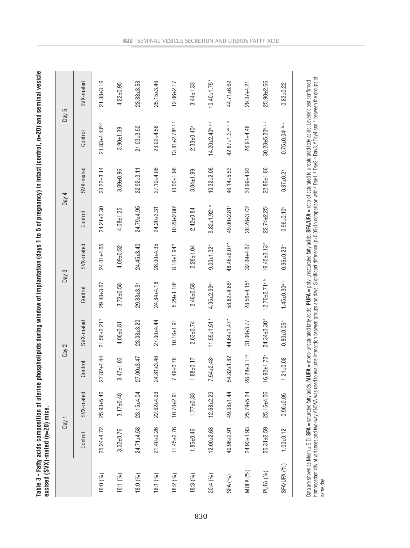| c                                                            |              |
|--------------------------------------------------------------|--------------|
|                                                              |              |
|                                                              |              |
|                                                              |              |
|                                                              |              |
|                                                              |              |
|                                                              |              |
|                                                              |              |
|                                                              |              |
|                                                              |              |
|                                                              |              |
|                                                              |              |
|                                                              |              |
|                                                              |              |
|                                                              |              |
|                                                              |              |
|                                                              |              |
|                                                              |              |
|                                                              |              |
|                                                              |              |
|                                                              |              |
|                                                              |              |
|                                                              |              |
|                                                              |              |
| Ľ<br>ì                                                       |              |
|                                                              |              |
|                                                              |              |
|                                                              |              |
|                                                              | $-20$ ) mire |
|                                                              | i            |
| ï<br>-<br>3<br>3<br>3<br>3<br>3<br>3<br>5<br>3<br>5<br>3<br> |              |
|                                                              | .<br>.<br>.  |
|                                                              |              |
| י<br>הוא                                                     |              |
| j                                                            |              |

|             |                  | Day 1            |                               | Day 2              | Day 3                          |                   |                                 | Day 4            | Day $5$                           |                    |
|-------------|------------------|------------------|-------------------------------|--------------------|--------------------------------|-------------------|---------------------------------|------------------|-----------------------------------|--------------------|
|             | Control          | SVX-mated        | Control                       | SVX-mated          | Control                        | SVX-mated         | Control                         | SVX-mated        | Control                           | SVX-mated          |
| 16:0 (%)    | $25.24 \pm 4.72$ | $25.93 + 5.46$   | $27.82 + 4.44$                | $21.56 \pm 2.21$ * | 29.48±3.67                     | $24.01 + 4.65$    | $24.21 + 3.30$                  | $23.22 \pm 3.14$ | $21.83 + 4.43$ <sup>b, c</sup>    | $21.38 + 3.16$     |
| 16:1 (%)    | $3.52 \pm 0.76$  | $3.17 \pm 0.48$  | $3.47 \pm 1.03$               | $4.06 + 0.81$      | $3.72 \pm 0.58$                | $4.09 + 0.52$     | $4.08 + 1.25$                   | $3.89 + 0.96$    | $3.90 + 1.39$                     | $4.22 \pm 0.95$    |
| 18:0 (%)    | $24.71 \pm 4.58$ | $23.15 + 4.04$   | $27.00 + 3.47$                | $23.08 + 3.20$     | $29.33 + 3.91$                 | $24.45 + 3.40$    | $24.79 + 4.95$                  | $22.92 \pm 3.11$ | $21.03 + 3.52$                    | $23.33 + 3.53$     |
| 18:1 (%)    | $21.40 + 2.26$   | $22.62 \pm 4.93$ | $24.81 \pm 3.46$              | $27.00 + 4.44$     | $24.84 + 4.18$                 | $28.00 + 4.35$    | $24.20 + 3.31$                  | $27.10 + 4.06$   | $23.02 + 4.56$                    | $25.15 \pm 3.46$   |
| 18:2(%)     | $11.45 \pm 2.76$ | $10.70 + 2.91$   | 7.49±0.76                     | $10.16 + 1.91$     | $5.29 \pm 1.18$ <sup>a</sup>   | $8.16 \pm 1.94$ * | $10.28 + 2.80$                  | $10.00 + 1.96$   | $13.81 \pm 2.78$ <sup>p.c.d</sup> | $12.06 + 2.17$     |
| 18:3(%)     | $1.85 + 0.46$    | $1.77 \pm 0.33$  | $1.88 + 0.17$                 | $2.63 \pm 0.74$    | $2.46 \pm 0.58$                | $2.28 + 1.04$     | $2.42 \pm 0.84$                 | $3.04 \pm 1.99$  | $2.33 \pm 0.40$ <sup>a</sup>      | $3.44 \pm 1.33$    |
| 20:4 (%)    | $12.00 + 2.63$   | $12.68 + 2.29$   | $7.54 \pm 2.43$ <sup>a</sup>  | $11.55 \pm 1.51$ * | $4.95 + 2.99$ a.b              | $9.00 + 1.32$ *   | $9.82 \pm 1.92$ <sup>a, c</sup> | $10.32 + 2.06$   | $14.20 + 2.40$ <sup>p.c.d</sup>   | $10.40 \pm 1.75$ * |
| SFA (%)     | 49.96±2.91       | $49.08 + 1.44$   | $54.82 \pm 1.82$              | $44.64 \pm 1.47$ * | 58.82±4.66ª                    | 48.46±6.07*       | 49.00±2.81°                     | $46.14 + 5.53$   | $42.87 \pm 1.37^{a. b. c}$        | 44.71±6.62         |
| MUFA (%)    | $24.93 \pm 1.93$ | $25.79 + 5.24$   | $28.28 \pm 3.11$ <sup>a</sup> | $31.06 + 3.77$     | $28.56 + 4.15$ <sup>a</sup>    | $32.09 + 4.67$    | $28.28 \pm 3.73$ <sup>a</sup>   | $30.99 + 4.93$   | $26.91 + 4.48$                    | $29.37 + 4.21$     |
| PUFA (%)    | $25.31 \pm 2.59$ | $25.15 \pm 4.06$ | $16.92 \pm 1.72$ <sup>a</sup> | $24.34 \pm 3.30*$  | $12.70 + 2.71$ <sup>a, b</sup> | $19.45 \pm 3.13*$ | $22.74 \pm 2.25$                | $22.86 \pm 1.86$ | $30.28 + 5.20$ <sup>p, c, d</sup> | 25.90±2.66         |
| SFA/UFA (%) | $1.00 + 0.12$    | $0.96 + 0.05$    | $1.21 \pm 0.08$               | $0.80 \pm 0.05$ *  | $1.45 \pm 0.30$ a, b           | $0.96 \pm 0.23$ * | $0.96 \pm 0.10$ <sup>c</sup>    | $0.87 + 0.21$    | $0.75 \pm 0.04$ a.b.c             | $0.83 + 0.22$      |

Data are shown as Mean ± S.D**; SFA** = saturated fatty acids; MUFA = mono-unsaturated fatty acids; PHO acids; SFA/UFA = ratio of saturated fo unsaturated fatty acids; Levene's test confirmed homoscedasticity of variances and two-way ANOVA was used to evaluate interaction between groups and days; Significant difference (p<0.05) in comparison with a Day?, \* Day3, \* Day4 and \* between the groups at ила аre snown as wean ± ъ**ът =** saurateo rany actos; **murA =** mono-unsaturated rany-unsaturated rany actos; **stryurA =** ratio or saturated to unsaturated rany actos; Levene's test continned<br>homoscedasticity of variances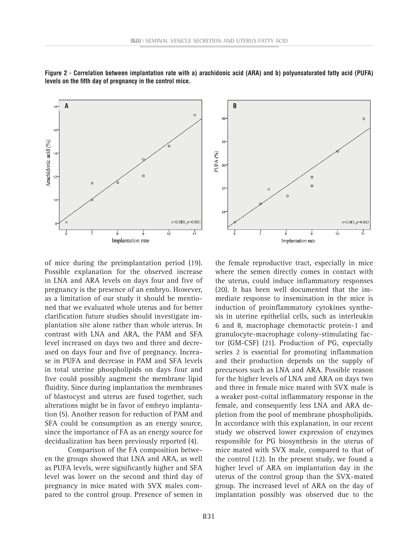

**Figure 2 - Correlation between implantation rate with a) arachidonic acid (ARA) and b) polyunsaturated fatty acid (PUFA) levels on the fifth day of pregnancy in the control mice.**

of mice during the preimplantation period (19). Possible explanation for the observed increase in LNA and ARA levels on days four and five of pregnancy is the presence of an embryo. However, as a limitation of our study it should be mentioned that we evaluated whole uterus and for better clarification future studies should investigate implantation site alone rather than whole uterus. In contrast with LNA and ARA, the PAM and SFA level increased on days two and three and decreased on days four and five of pregnancy. Increase in PUFA and decrease in PAM and SFA levels in total uterine phospholipids on days four and five could possibly augment the membrane lipid fluidity. Since during implantation the membranes of blastocyst and uterus are fused together, such alterations might be in favor of embryo implantation (5). Another reason for reduction of PAM and SFA could be consumption as an energy source, since the importance of FA as an energy source for decidualization has been previously reported (4).

Comparison of the FA composition between the groups showed that LNA and ARA, as well as PUFA levels, were significantly higher and SFA level was lower on the second and third day of pregnancy in mice mated with SVX males compared to the control group. Presence of semen in



the female reproductive tract, especially in mice where the semen directly comes in contact with the uterus, could induce inflammatory responses (20). It has been well documented that the immediate response to insemination in the mice is induction of proinflammatory cytokines synthesis in uterine epithelial cells, such as interleukin 6 and 8, macrophage chemotactic protein-1 and granulocyte-macrophage colony-stimulating factor (GM-CSF) (21). Production of PG, especially series 2 is essential for promoting inflammation and their production depends on the supply of precursors such as LNA and ARA. Possible reason for the higher levels of LNA and ARA on days two and three in female mice mated with SVX male is a weaker post-coital inflammatory response in the female, and consequently less LNA and ARA depletion from the pool of membrane phospholipids. In accordance with this explanation, in our recent study we observed lower expression of enzymes responsible for PG biosynthesis in the uterus of mice mated with SVX male, compared to that of the control (12). In the present study, we found a higher level of ARA on implantation day in the uterus of the control group than the SVX-mated group. The increased level of ARA on the day of implantation possibly was observed due to the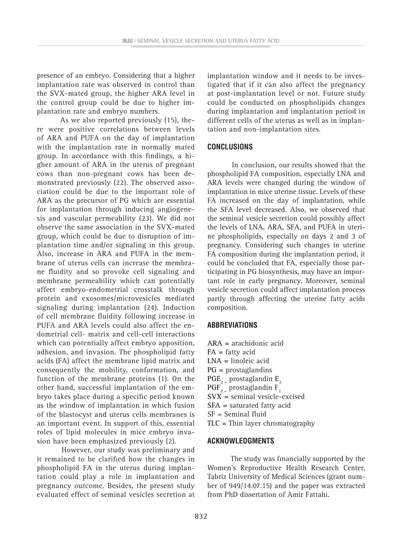presence of an embryo. Considering that a higher implantation rate was observed in control than the SVX-mated group, the higher ARA level in the control group could be due to higher implantation rate and embryo numbers.

As we also reported previously (15), there were positive correlations between levels of ARA and PUFA on the day of implantation with the implantation rate in normally mated group. In accordance with this findings, a higher amount of ARA in the uterus of pregnant cows than non-pregnant cows has been demonstrated previously (22). The observed association could be due to the important role of ARA as the precursor of PG which are essential for implantation through inducing angiogenesis and vascular permeability (23). We did not observe the same association in the SVX-mated group, which could be due to disruption of implantation time and/or signaling in this group. Also, increase in ARA and PUFA in the membrane of uterus cells can increase the membrane fluidity and so provoke cell signaling and membrane permeability which can potentially affect embryo-endometrial crosstalk through protein and exosomes/microvesicles mediated signaling during implantation (24). Induction of cell membrane fluidity following increase in PUFA and ARA levels could also affect the endometrial cell- matrix and cell-cell interactions which can potentially affect embryo apposition, adhesion, and invasion. The phospholipid fatty acids (FA) affect the membrane lipid matrix and consequently the mobility, conformation, and function of the membrane proteins (1). On the other hand, successful implantation of the embryo takes place during a specific period known as the window of implantation in which fusion of the blastocyst and uterus cells membranes is an important event. In support of this, essential roles of lipid molecules in mice embryo invasion have been emphasized previously (2).

However, our study was preliminary and it remained to be clarified how the changes in phospholipid FA in the uterus during implantation could play a role in implantation and pregnancy outcome. Besides, the present study evaluated effect of seminal vesicles secretion at

implantation window and it needs to be investigated that if it can also affect the pregnancy at post-implantation level or not. Future study could be conducted on phospholipids changes during implantation and implantation period in different cells of the uterus as well as in implantation and non-implantation sites.

## **CONCLUSIONS**

In conclusion, our results showed that the phospholipid FA composition, especially LNA and ARA levels were changed during the window of implantation in mice uterine tissue. Levels of these FA increased on the day of implantation, while the SFA level decreased. Also, we observed that the seminal vesicle secretion could possibly affect the levels of LNA, ARA, SFA, and PUFA in uterine phospholipids, especially on days 2 and 3 of pregnancy. Considering such changes in uterine FA composition during the implantation period, it could be concluded that FA, especially those participating in PG biosynthesis, may have an important role in early pregnancy. Moreover, seminal vesicle secretion could affect implantation process partly through affecting the uterine fatty acids composition.

## **ABBREVIATIONS**

**ARA =** arachidonic acid **FA =** fatty acid **LNA =** linoleic acid **PG =** prostaglandins  $PGE_{2}$  prostaglandin  $E_{2}$  $PGF_{2}$  prostaglandin  $F_{2}$ **SVX =** seminal vesicle-excised **SFA =** saturated fatty acid SF = Seminal fluid **TLC =** Thin layer chromatography

## **ACKNOWLEDGMENTS**

The study was financially supported by the Women's Reproductive Health Research Center, Tabriz University of Medical Sciences (grant number of 949/14.07.15) and the paper was extracted from PhD dissertation of Amir Fattahi.